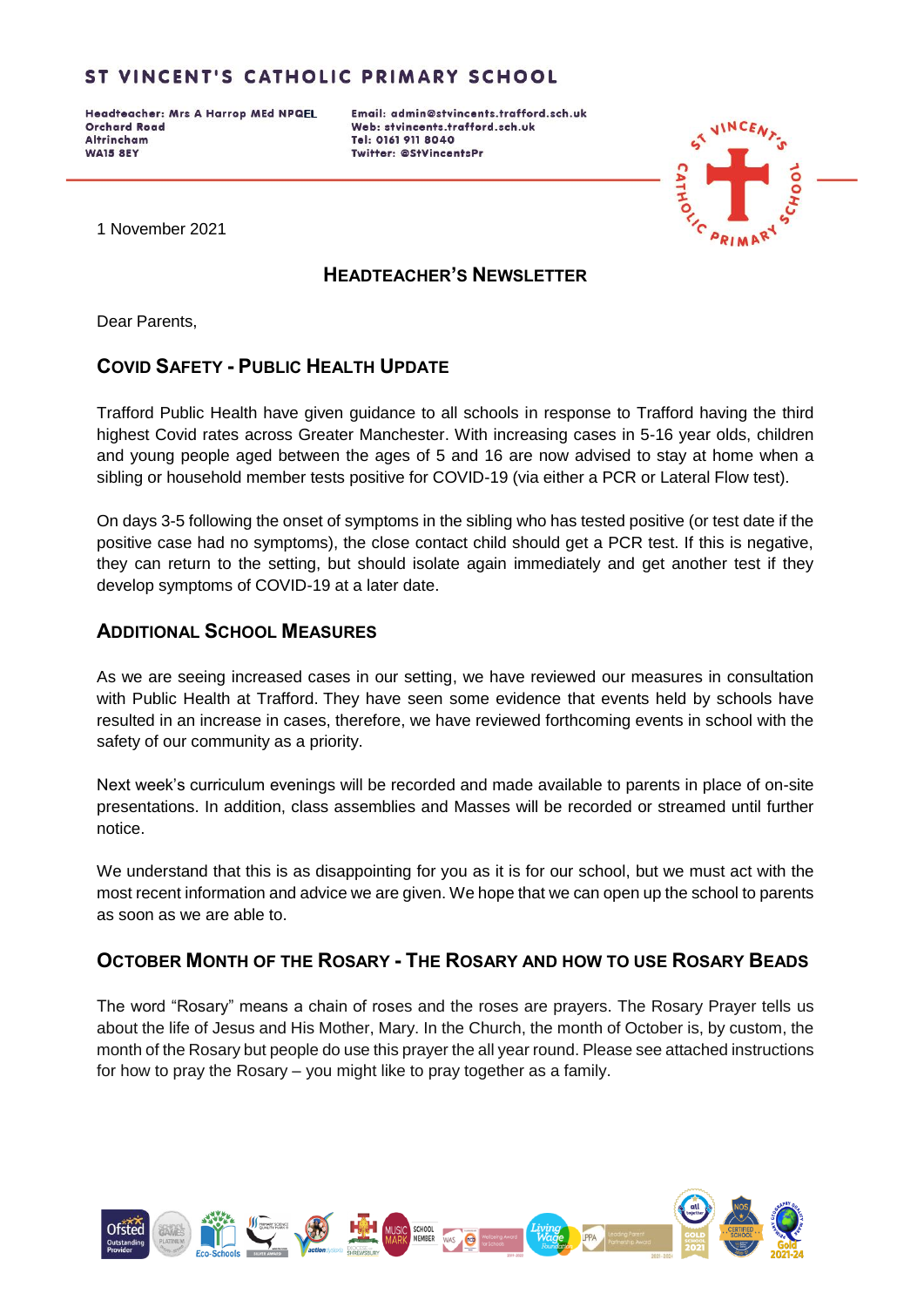Headteacher: Mrs A Harrop MEd NPQEL **Orchard Road Altrincham WA15 8EY** 

Email: admin@stvincents.trafford.sch.uk Web: stvincents.trafford.sch.uk Tel: 0161 911 8040 Twitter: @StVincentsPr



1 November 2021

## **HEADTEACHER'S NEWSLETTER**

Dear Parents,

## **COVID SAFETY - PUBLIC HEALTH UPDATE**

Trafford Public Health have given guidance to all schools in response to Trafford having the third highest Covid rates across Greater Manchester. With increasing cases in 5-16 year olds, children and young people aged between the ages of 5 and 16 are now advised to stay at home when a sibling or household member tests positive for COVID-19 (via either a PCR or Lateral Flow test).

On days 3-5 following the onset of symptoms in the sibling who has tested positive (or test date if the positive case had no symptoms), the close contact child should get a PCR test. If this is negative, they can return to the setting, but should isolate again immediately and get another test if they develop symptoms of COVID-19 at a later date.

## **ADDITIONAL SCHOOL MEASURES**

As we are seeing increased cases in our setting, we have reviewed our measures in consultation with Public Health at Trafford. They have seen some evidence that events held by schools have resulted in an increase in cases, therefore, we have reviewed forthcoming events in school with the safety of our community as a priority.

Next week's curriculum evenings will be recorded and made available to parents in place of on-site presentations. In addition, class assemblies and Masses will be recorded or streamed until further notice.

We understand that this is as disappointing for you as it is for our school, but we must act with the most recent information and advice we are given. We hope that we can open up the school to parents as soon as we are able to.

## **OCTOBER MONTH OF THE ROSARY - THE ROSARY AND HOW TO USE ROSARY BEADS**

The word "Rosary" means a chain of roses and the roses are prayers. The Rosary Prayer tells us about the life of Jesus and His Mother, Mary. In the Church, the month of October is, by custom, the month of the Rosary but people do use this prayer the all year round. Please see attached instructions for how to pray the Rosary – you might like to pray together as a family.

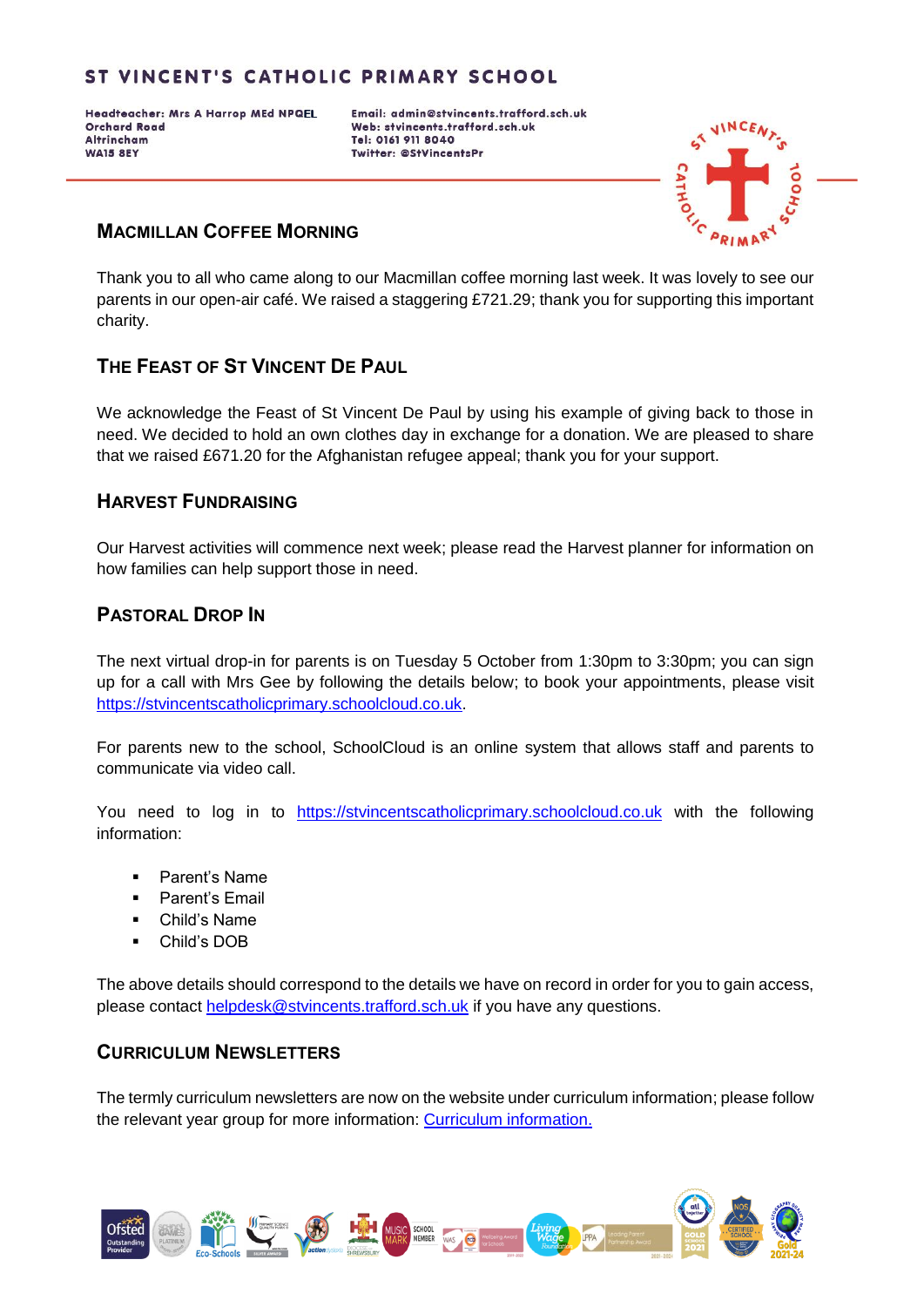Headteacher: Mrs A Harrop MEd NPQEL **Orchard Road Altrincham WA15 8EY** 

Email: admin@stvincents.trafford.sch.uk Web: stvincents.trafford.sch.uk Tel: 0161 911 8040 Twitter: @StVincentsPr



#### **MACMILLAN COFFEE MORNING**

Thank you to all who came along to our Macmillan coffee morning last week. It was lovely to see our parents in our open-air café. We raised a staggering £721.29; thank you for supporting this important charity.

## **THE FEAST OF ST VINCENT DE PAUL**

We acknowledge the Feast of St Vincent De Paul by using his example of giving back to those in need. We decided to hold an own clothes day in exchange for a donation. We are pleased to share that we raised £671.20 for the Afghanistan refugee appeal; thank you for your support.

#### **HARVEST FUNDRAISING**

Our Harvest activities will commence next week; please read the Harvest planner for information on how families can help support those in need.

#### **PASTORAL DROP IN**

The next virtual drop-in for parents is on Tuesday 5 October from 1:30pm to 3:30pm; you can sign up for a call with Mrs Gee by following the details below; to book your appointments, please visit [https://stvincentscatholicprimary.schoolcloud.co.uk.](https://stvincentscatholicprimary.schoolcloud.co.uk/)

For parents new to the school, SchoolCloud is an online system that allows staff and parents to communicate via video call.

You need to log in to [https://stvincentscatholicprimary.schoolcloud.co.uk](https://stvincentscatholicprimary.schoolcloud.co.uk/) with the following information:

- Parent's Name
- Parent's Email
- Child's Name
- Child's DOB

The above details should correspond to the details we have on record in order for you to gain access, please contact [helpdesk@stvincents.trafford.sch.uk](mailto:helpdesk@stvincents.trafford.sch.uk) if you have any questions.

#### **CURRICULUM NEWSLETTERS**

The termly curriculum newsletters are now on the website under curriculum information; please follow the relevant year group for more information: [Curriculum information.](http://stvincents.trafford.sch.uk/page/curriculum-information/63387)

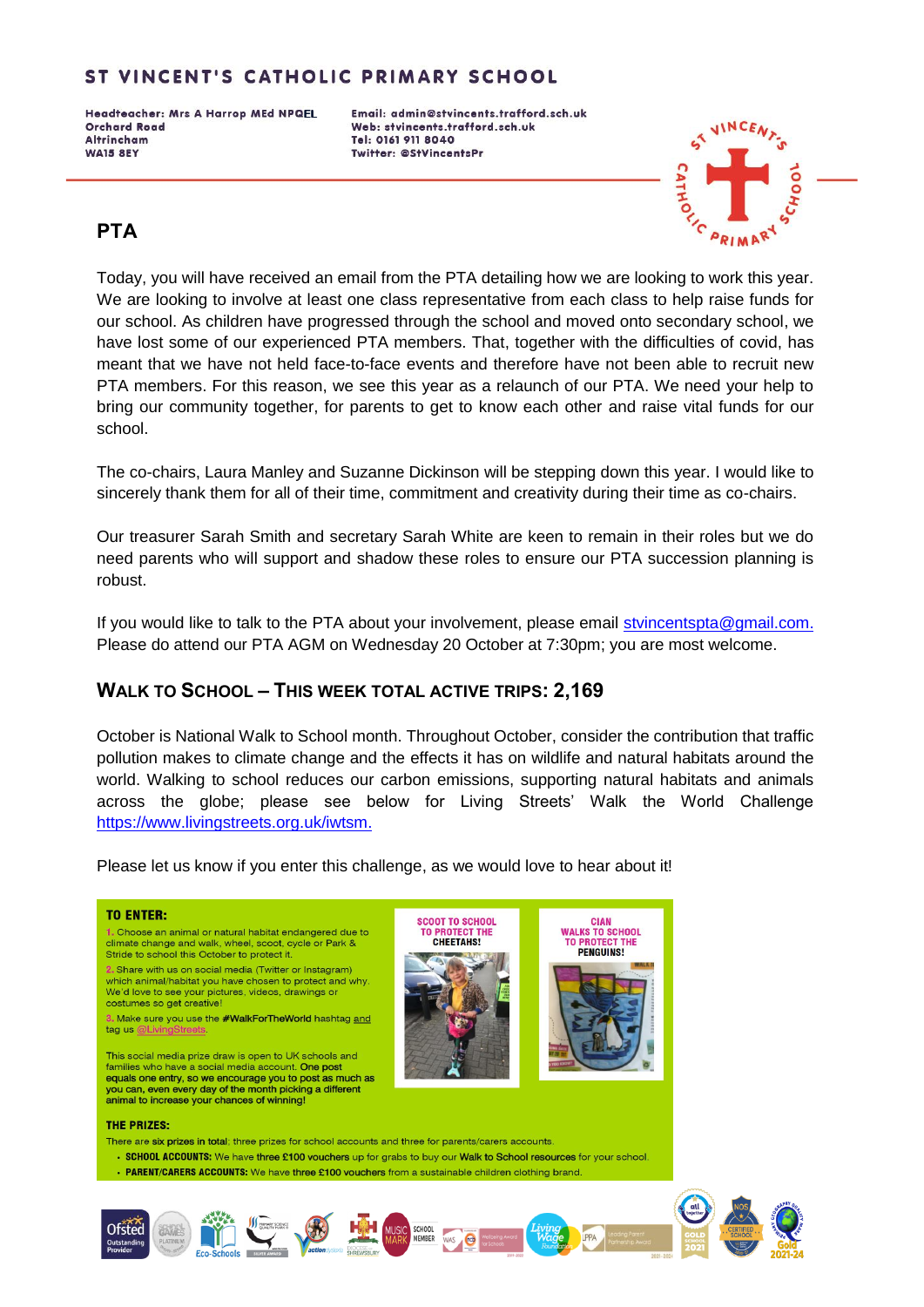Headteacher: Mrs A Harrop MEd NPQEL **Orchard Road Altrincham WA15 8EY** 

Email: admin@stvincents.trafford.sch.uk Web: stvincents.trafford.sch.uk Tel: 0161 911 8040 Twitter: @StVincentsPr



# **PTA**

Today, you will have received an email from the PTA detailing how we are looking to work this year. We are looking to involve at least one class representative from each class to help raise funds for our school. As children have progressed through the school and moved onto secondary school, we have lost some of our experienced PTA members. That, together with the difficulties of covid, has meant that we have not held face-to-face events and therefore have not been able to recruit new PTA members. For this reason, we see this year as a relaunch of our PTA. We need your help to bring our community together, for parents to get to know each other and raise vital funds for our school.

The co-chairs, Laura Manley and Suzanne Dickinson will be stepping down this year. I would like to sincerely thank them for all of their time, commitment and creativity during their time as co-chairs.

Our treasurer Sarah Smith and secretary Sarah White are keen to remain in their roles but we do need parents who will support and shadow these roles to ensure our PTA succession planning is robust.

If you would like to talk to the PTA about your involvement, please email [stvincentspta@gmail.com.](mailto:stvincentspta@gmail.com) Please do attend our PTA AGM on Wednesday 20 October at 7:30pm; you are most welcome.

### **WALK TO SCHOOL – THIS WEEK TOTAL ACTIVE TRIPS: 2,169**

October is National Walk to School month. Throughout October, consider the contribution that traffic pollution makes to climate change and the effects it has on wildlife and natural habitats around the world. Walking to school reduces our carbon emissions, supporting natural habitats and animals across the globe; please see below for Living Streets' Walk the World Challenge [https://www.livingstreets.org.uk/iwtsm.](https://www.livingstreets.org.uk/iwtsm)

Please let us know if you enter this challenge, as we would love to hear about it!

#### **TO ENTER:**

1. Choose an animal or natural habitat endangered due to climate change and walk, wheel, scoot, cycle or Park &<br>Stride to school this October to protect it. 2. Share with us on social media (Twitter or Instagram)

which animal/habitat you have chosen to protect and why. We'd love to see your pictures, videos, drawings or costumes so get creative!

3. Make sure you use the #WalkForTheWorld hashtag and tag us @LivingStre





#### **THE PRIZES:**

- There are six prizes in total; three prizes for school accounts and three for parents/carers accounts
- . SCHOOL ACCOUNTS: We have three £100 youchers up for grabs to buy our Walk to School resources for your school
- PARENT/CARERS ACCOUNTS: We have three £100 vouchers from a sustainable children clothing brand.